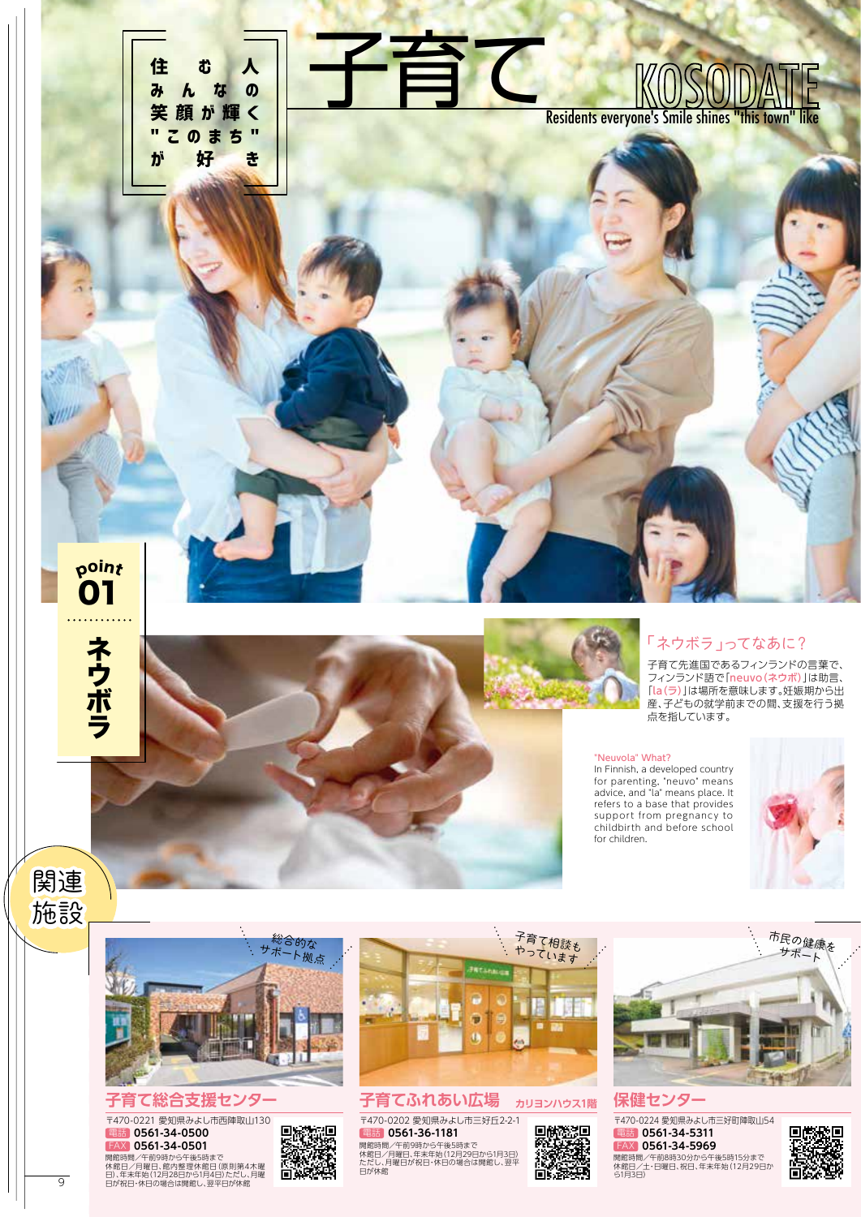



# 〒470-0221 愛知県みよし市西陣取山130

子育て総合支援センター<br><sup>〒470-0221 愛知県みよい市西陣取山130<br>電話 0561-34-0500 - 回答数理<br>『<sub>『インタイ-34-0501</sub>』 - 『大学の</sup> 電話 **0561-34-0500** FAX **0561-34-0501**



백



# **子育てふれあい広場 カリヨンハウス1階 保健センター**

開館時間/午前9時から午後5時まで<br>休館日/月曜日、年末年始(12月29日から1月3日)<br>ただし、月曜日が祝日・休日の場合は開館し、翌平<br>日が休館 ー<br>〒470-0202 愛知県みよし市三好丘2-2-1 電話 **0561-36-1181**



開館時間/午前9時から午後5時まで 『大学休館 - 『大学休館』 ただし、月曜日、米本半線(12月23日から113日) - 1988年10月27日 - 開館時間/午前8時30分から午後5時15分まで - アニメの<br>本館日/月曜日、館内整理休館日(原則第4木曜 - 『大橋整理休館 - 『ただし、月曜日が祝日・休日の場合は開館し、翌平 - 『大橋全世大館 - 休館日/土・日曜日、祝日、年末年始(12月29日か - 『大橋全世大<br>9 10日が祝 -<br>〒470-0224 愛知県みよし市三好町陣取山54 開館時間/午前8時30分から午後5時15分まで<br>休館日/土・日曜日、祝日、年末年始(12月29日か<br>ら1月3日) 電話 **0561-34-5311** FAX **0561-34-5969**